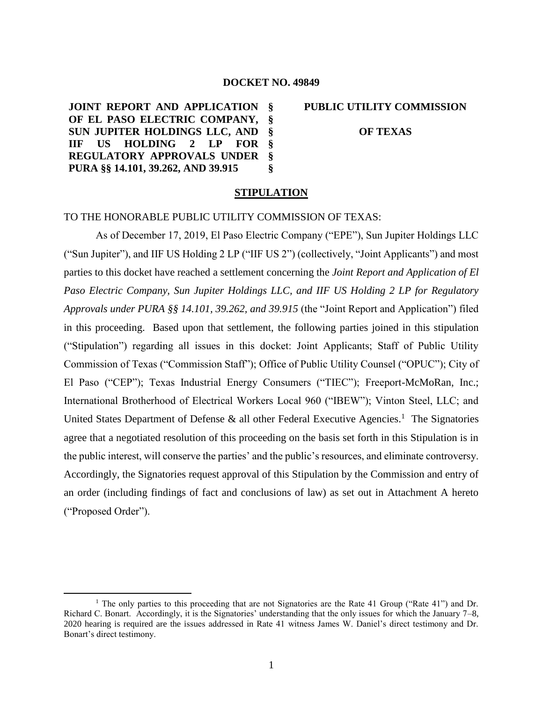#### **DOCKET NO. 49849**

**JOINT REPORT AND APPLICATION § OF EL PASO ELECTRIC COMPANY, SUN JUPITER HOLDINGS LLC, AND IIF US HOLDING 2 LP FOR REGULATORY APPROVALS UNDER PURA §§ 14.101, 39.262, AND 39.915 § § § § §** **PUBLIC UTILITY COMMISSION OF TEXAS**

#### **STIPULATION**

## TO THE HONORABLE PUBLIC UTILITY COMMISSION OF TEXAS:

As of December 17, 2019, El Paso Electric Company ("EPE"), Sun Jupiter Holdings LLC ("Sun Jupiter"), and IIF US Holding 2 LP ("IIF US 2") (collectively, "Joint Applicants") and most parties to this docket have reached a settlement concerning the *Joint Report and Application of El Paso Electric Company, Sun Jupiter Holdings LLC, and IIF US Holding 2 LP for Regulatory Approvals under PURA §§ 14.101, 39.262, and 39.915* (the "Joint Report and Application") filed in this proceeding. Based upon that settlement, the following parties joined in this stipulation ("Stipulation") regarding all issues in this docket: Joint Applicants; Staff of Public Utility Commission of Texas ("Commission Staff"); Office of Public Utility Counsel ("OPUC"); City of El Paso ("CEP"); Texas Industrial Energy Consumers ("TIEC"); Freeport-McMoRan, Inc.; International Brotherhood of Electrical Workers Local 960 ("IBEW"); Vinton Steel, LLC; and United States Department of Defense  $\&$  all other Federal Executive Agencies.<sup>1</sup> The Signatories agree that a negotiated resolution of this proceeding on the basis set forth in this Stipulation is in the public interest, will conserve the parties' and the public's resources, and eliminate controversy. Accordingly, the Signatories request approval of this Stipulation by the Commission and entry of an order (including findings of fact and conclusions of law) as set out in Attachment A hereto ("Proposed Order").

<sup>&</sup>lt;sup>1</sup> The only parties to this proceeding that are not Signatories are the Rate 41 Group ("Rate 41") and Dr. Richard C. Bonart. Accordingly, it is the Signatories' understanding that the only issues for which the January 7–8, 2020 hearing is required are the issues addressed in Rate 41 witness James W. Daniel's direct testimony and Dr. Bonart's direct testimony.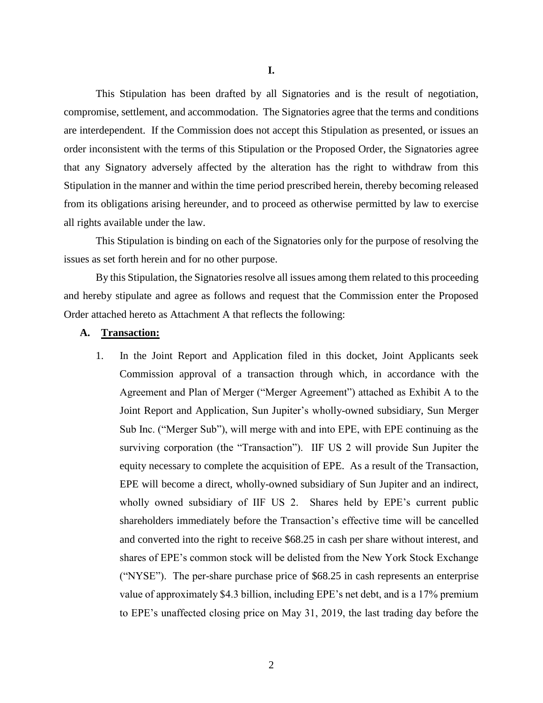This Stipulation has been drafted by all Signatories and is the result of negotiation, compromise, settlement, and accommodation. The Signatories agree that the terms and conditions are interdependent. If the Commission does not accept this Stipulation as presented, or issues an order inconsistent with the terms of this Stipulation or the Proposed Order, the Signatories agree that any Signatory adversely affected by the alteration has the right to withdraw from this Stipulation in the manner and within the time period prescribed herein, thereby becoming released from its obligations arising hereunder, and to proceed as otherwise permitted by law to exercise all rights available under the law.

This Stipulation is binding on each of the Signatories only for the purpose of resolving the issues as set forth herein and for no other purpose.

By this Stipulation, the Signatories resolve all issues among them related to this proceeding and hereby stipulate and agree as follows and request that the Commission enter the Proposed Order attached hereto as Attachment A that reflects the following:

#### **A. Transaction:**

1. In the Joint Report and Application filed in this docket, Joint Applicants seek Commission approval of a transaction through which, in accordance with the Agreement and Plan of Merger ("Merger Agreement") attached as Exhibit A to the Joint Report and Application, Sun Jupiter's wholly-owned subsidiary, Sun Merger Sub Inc. ("Merger Sub"), will merge with and into EPE, with EPE continuing as the surviving corporation (the "Transaction"). IIF US 2 will provide Sun Jupiter the equity necessary to complete the acquisition of EPE. As a result of the Transaction, EPE will become a direct, wholly-owned subsidiary of Sun Jupiter and an indirect, wholly owned subsidiary of IIF US 2. Shares held by EPE's current public shareholders immediately before the Transaction's effective time will be cancelled and converted into the right to receive \$68.25 in cash per share without interest, and shares of EPE's common stock will be delisted from the New York Stock Exchange ("NYSE"). The per-share purchase price of \$68.25 in cash represents an enterprise value of approximately \$4.3 billion, including EPE's net debt, and is a 17% premium to EPE's unaffected closing price on May 31, 2019, the last trading day before the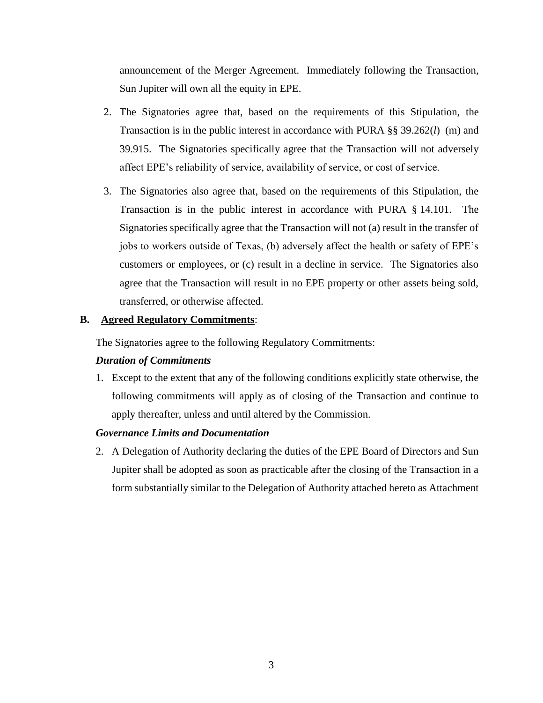announcement of the Merger Agreement. Immediately following the Transaction, Sun Jupiter will own all the equity in EPE.

- 2. The Signatories agree that, based on the requirements of this Stipulation, the Transaction is in the public interest in accordance with PURA §§ 39.262(*l*)–(m) and 39.915. The Signatories specifically agree that the Transaction will not adversely affect EPE's reliability of service, availability of service, or cost of service.
- 3. The Signatories also agree that, based on the requirements of this Stipulation, the Transaction is in the public interest in accordance with PURA § 14.101. The Signatories specifically agree that the Transaction will not (a) result in the transfer of jobs to workers outside of Texas, (b) adversely affect the health or safety of EPE's customers or employees, or (c) result in a decline in service. The Signatories also agree that the Transaction will result in no EPE property or other assets being sold, transferred, or otherwise affected.

## **B. Agreed Regulatory Commitments**:

The Signatories agree to the following Regulatory Commitments:

## *Duration of Commitments*

1. Except to the extent that any of the following conditions explicitly state otherwise, the following commitments will apply as of closing of the Transaction and continue to apply thereafter, unless and until altered by the Commission.

## *Governance Limits and Documentation*

2. A Delegation of Authority declaring the duties of the EPE Board of Directors and Sun Jupiter shall be adopted as soon as practicable after the closing of the Transaction in a form substantially similar to the Delegation of Authority attached hereto as Attachment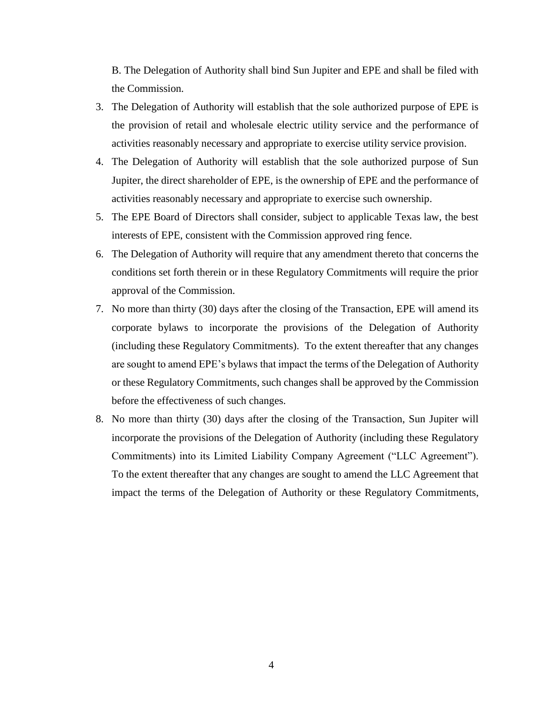B. The Delegation of Authority shall bind Sun Jupiter and EPE and shall be filed with the Commission.

- 3. The Delegation of Authority will establish that the sole authorized purpose of EPE is the provision of retail and wholesale electric utility service and the performance of activities reasonably necessary and appropriate to exercise utility service provision.
- 4. The Delegation of Authority will establish that the sole authorized purpose of Sun Jupiter, the direct shareholder of EPE, is the ownership of EPE and the performance of activities reasonably necessary and appropriate to exercise such ownership.
- 5. The EPE Board of Directors shall consider, subject to applicable Texas law, the best interests of EPE, consistent with the Commission approved ring fence.
- 6. The Delegation of Authority will require that any amendment thereto that concerns the conditions set forth therein or in these Regulatory Commitments will require the prior approval of the Commission.
- 7. No more than thirty (30) days after the closing of the Transaction, EPE will amend its corporate bylaws to incorporate the provisions of the Delegation of Authority (including these Regulatory Commitments). To the extent thereafter that any changes are sought to amend EPE's bylaws that impact the terms of the Delegation of Authority or these Regulatory Commitments, such changes shall be approved by the Commission before the effectiveness of such changes.
- 8. No more than thirty (30) days after the closing of the Transaction, Sun Jupiter will incorporate the provisions of the Delegation of Authority (including these Regulatory Commitments) into its Limited Liability Company Agreement ("LLC Agreement"). To the extent thereafter that any changes are sought to amend the LLC Agreement that impact the terms of the Delegation of Authority or these Regulatory Commitments,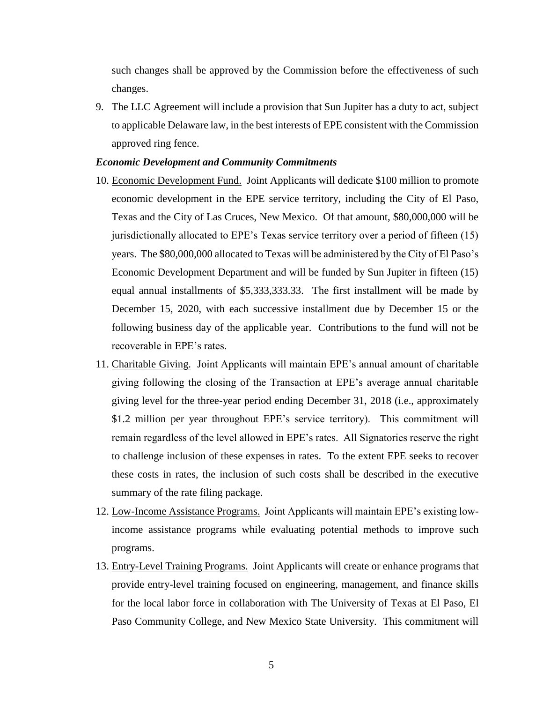such changes shall be approved by the Commission before the effectiveness of such changes.

9. The LLC Agreement will include a provision that Sun Jupiter has a duty to act, subject to applicable Delaware law, in the best interests of EPE consistent with the Commission approved ring fence.

#### *Economic Development and Community Commitments*

- 10. Economic Development Fund. Joint Applicants will dedicate \$100 million to promote economic development in the EPE service territory, including the City of El Paso, Texas and the City of Las Cruces, New Mexico. Of that amount, \$80,000,000 will be jurisdictionally allocated to EPE's Texas service territory over a period of fifteen (15) years. The \$80,000,000 allocated to Texas will be administered by the City of El Paso's Economic Development Department and will be funded by Sun Jupiter in fifteen (15) equal annual installments of \$5,333,333.33. The first installment will be made by December 15, 2020, with each successive installment due by December 15 or the following business day of the applicable year. Contributions to the fund will not be recoverable in EPE's rates.
- 11. Charitable Giving. Joint Applicants will maintain EPE's annual amount of charitable giving following the closing of the Transaction at EPE's average annual charitable giving level for the three-year period ending December 31, 2018 (i.e., approximately \$1.2 million per year throughout EPE's service territory). This commitment will remain regardless of the level allowed in EPE's rates. All Signatories reserve the right to challenge inclusion of these expenses in rates. To the extent EPE seeks to recover these costs in rates, the inclusion of such costs shall be described in the executive summary of the rate filing package.
- 12. Low-Income Assistance Programs. Joint Applicants will maintain EPE's existing lowincome assistance programs while evaluating potential methods to improve such programs.
- 13. Entry-Level Training Programs. Joint Applicants will create or enhance programs that provide entry-level training focused on engineering, management, and finance skills for the local labor force in collaboration with The University of Texas at El Paso, El Paso Community College, and New Mexico State University. This commitment will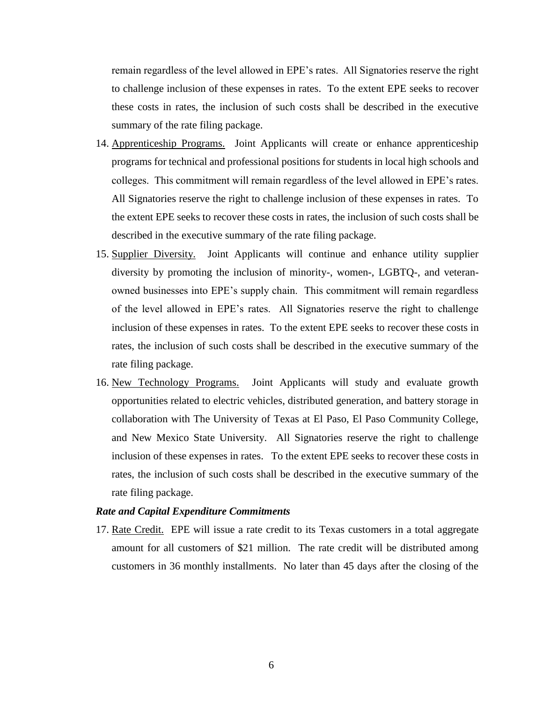remain regardless of the level allowed in EPE's rates. All Signatories reserve the right to challenge inclusion of these expenses in rates. To the extent EPE seeks to recover these costs in rates, the inclusion of such costs shall be described in the executive summary of the rate filing package.

- 14. Apprenticeship Programs. Joint Applicants will create or enhance apprenticeship programs for technical and professional positions for students in local high schools and colleges. This commitment will remain regardless of the level allowed in EPE's rates. All Signatories reserve the right to challenge inclusion of these expenses in rates. To the extent EPE seeks to recover these costs in rates, the inclusion of such costs shall be described in the executive summary of the rate filing package.
- 15. Supplier Diversity. Joint Applicants will continue and enhance utility supplier diversity by promoting the inclusion of minority-, women-, LGBTQ-, and veteranowned businesses into EPE's supply chain. This commitment will remain regardless of the level allowed in EPE's rates. All Signatories reserve the right to challenge inclusion of these expenses in rates. To the extent EPE seeks to recover these costs in rates, the inclusion of such costs shall be described in the executive summary of the rate filing package.
- 16. New Technology Programs. Joint Applicants will study and evaluate growth opportunities related to electric vehicles, distributed generation, and battery storage in collaboration with The University of Texas at El Paso, El Paso Community College, and New Mexico State University. All Signatories reserve the right to challenge inclusion of these expenses in rates. To the extent EPE seeks to recover these costs in rates, the inclusion of such costs shall be described in the executive summary of the rate filing package.

#### *Rate and Capital Expenditure Commitments*

17. Rate Credit. EPE will issue a rate credit to its Texas customers in a total aggregate amount for all customers of \$21 million. The rate credit will be distributed among customers in 36 monthly installments. No later than 45 days after the closing of the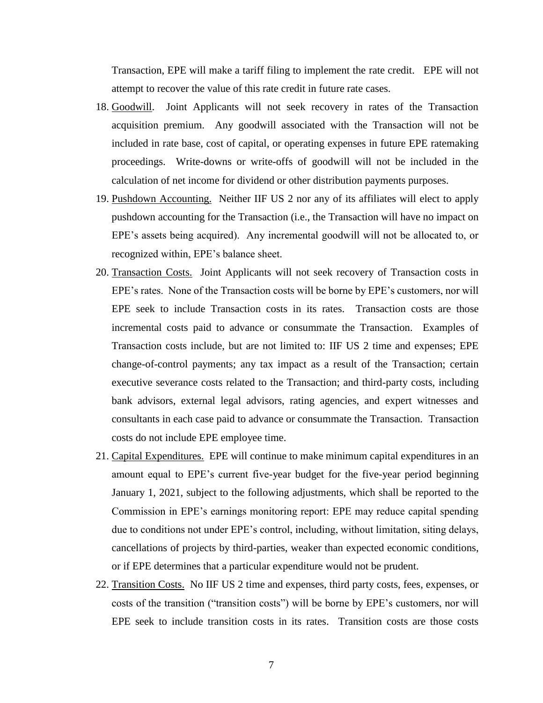Transaction, EPE will make a tariff filing to implement the rate credit. EPE will not attempt to recover the value of this rate credit in future rate cases.

- 18. Goodwill. Joint Applicants will not seek recovery in rates of the Transaction acquisition premium. Any goodwill associated with the Transaction will not be included in rate base, cost of capital, or operating expenses in future EPE ratemaking proceedings. Write-downs or write-offs of goodwill will not be included in the calculation of net income for dividend or other distribution payments purposes.
- 19. Pushdown Accounting. Neither IIF US 2 nor any of its affiliates will elect to apply pushdown accounting for the Transaction (i.e., the Transaction will have no impact on EPE's assets being acquired). Any incremental goodwill will not be allocated to, or recognized within, EPE's balance sheet.
- 20. Transaction Costs. Joint Applicants will not seek recovery of Transaction costs in EPE's rates. None of the Transaction costs will be borne by EPE's customers, nor will EPE seek to include Transaction costs in its rates. Transaction costs are those incremental costs paid to advance or consummate the Transaction. Examples of Transaction costs include, but are not limited to: IIF US 2 time and expenses; EPE change-of-control payments; any tax impact as a result of the Transaction; certain executive severance costs related to the Transaction; and third-party costs, including bank advisors, external legal advisors, rating agencies, and expert witnesses and consultants in each case paid to advance or consummate the Transaction. Transaction costs do not include EPE employee time.
- 21. Capital Expenditures. EPE will continue to make minimum capital expenditures in an amount equal to EPE's current five-year budget for the five-year period beginning January 1, 2021, subject to the following adjustments, which shall be reported to the Commission in EPE's earnings monitoring report: EPE may reduce capital spending due to conditions not under EPE's control, including, without limitation, siting delays, cancellations of projects by third-parties, weaker than expected economic conditions, or if EPE determines that a particular expenditure would not be prudent.
- 22. Transition Costs. No IIF US 2 time and expenses, third party costs, fees, expenses, or costs of the transition ("transition costs") will be borne by EPE's customers, nor will EPE seek to include transition costs in its rates. Transition costs are those costs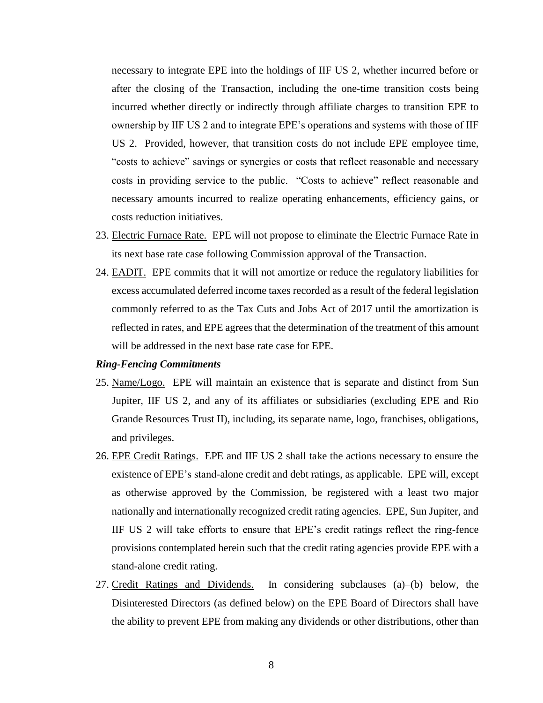necessary to integrate EPE into the holdings of IIF US 2, whether incurred before or after the closing of the Transaction, including the one-time transition costs being incurred whether directly or indirectly through affiliate charges to transition EPE to ownership by IIF US 2 and to integrate EPE's operations and systems with those of IIF US 2. Provided, however, that transition costs do not include EPE employee time, "costs to achieve" savings or synergies or costs that reflect reasonable and necessary costs in providing service to the public. "Costs to achieve" reflect reasonable and necessary amounts incurred to realize operating enhancements, efficiency gains, or costs reduction initiatives.

- 23. Electric Furnace Rate. EPE will not propose to eliminate the Electric Furnace Rate in its next base rate case following Commission approval of the Transaction.
- 24. EADIT. EPE commits that it will not amortize or reduce the regulatory liabilities for excess accumulated deferred income taxes recorded as a result of the federal legislation commonly referred to as the Tax Cuts and Jobs Act of 2017 until the amortization is reflected in rates, and EPE agrees that the determination of the treatment of this amount will be addressed in the next base rate case for EPE.

#### *Ring-Fencing Commitments*

- 25. Name/Logo. EPE will maintain an existence that is separate and distinct from Sun Jupiter, IIF US 2, and any of its affiliates or subsidiaries (excluding EPE and Rio Grande Resources Trust II), including, its separate name, logo, franchises, obligations, and privileges.
- 26. EPE Credit Ratings. EPE and IIF US 2 shall take the actions necessary to ensure the existence of EPE's stand-alone credit and debt ratings, as applicable. EPE will, except as otherwise approved by the Commission, be registered with a least two major nationally and internationally recognized credit rating agencies. EPE, Sun Jupiter, and IIF US 2 will take efforts to ensure that EPE's credit ratings reflect the ring-fence provisions contemplated herein such that the credit rating agencies provide EPE with a stand-alone credit rating.
- 27. Credit Ratings and Dividends. In considering subclauses (a)–(b) below, the Disinterested Directors (as defined below) on the EPE Board of Directors shall have the ability to prevent EPE from making any dividends or other distributions, other than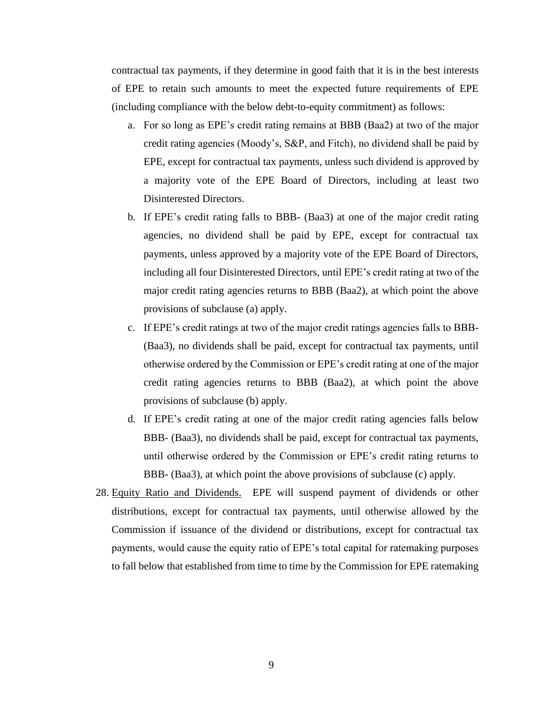contractual tax payments, if they determine in good faith that it is in the best interests of EPE to retain such amounts to meet the expected future requirements of EPE (including compliance with the below debt-to-equity commitment) as follows:

- a. For so long as EPE's credit rating remains at BBB (Baa2) at two of the major credit rating agencies (Moody's, S&P, and Fitch), no dividend shall be paid by EPE, except for contractual tax payments, unless such dividend is approved by a majority vote of the EPE Board of Directors, including at least two Disinterested Directors.
- b. If EPE's credit rating falls to BBB- (Baa3) at one of the major credit rating agencies, no dividend shall be paid by EPE, except for contractual tax payments, unless approved by a majority vote of the EPE Board of Directors, including all four Disinterested Directors, until EPE's credit rating at two of the major credit rating agencies returns to BBB (Baa2), at which point the above provisions of subclause (a) apply.
- c. If EPE's credit ratings at two of the major credit ratings agencies falls to BBB- (Baa3), no dividends shall be paid, except for contractual tax payments, until otherwise ordered by the Commission or EPE's credit rating at one of the major credit rating agencies returns to BBB (Baa2), at which point the above provisions of subclause (b) apply.
- d. If EPE's credit rating at one of the major credit rating agencies falls below BBB- (Baa3), no dividends shall be paid, except for contractual tax payments, until otherwise ordered by the Commission or EPE's credit rating returns to BBB- (Baa3), at which point the above provisions of subclause (c) apply.
- 28. Equity Ratio and Dividends. EPE will suspend payment of dividends or other distributions, except for contractual tax payments, until otherwise allowed by the Commission if issuance of the dividend or distributions, except for contractual tax payments, would cause the equity ratio of EPE's total capital for ratemaking purposes to fall below that established from time to time by the Commission for EPE ratemaking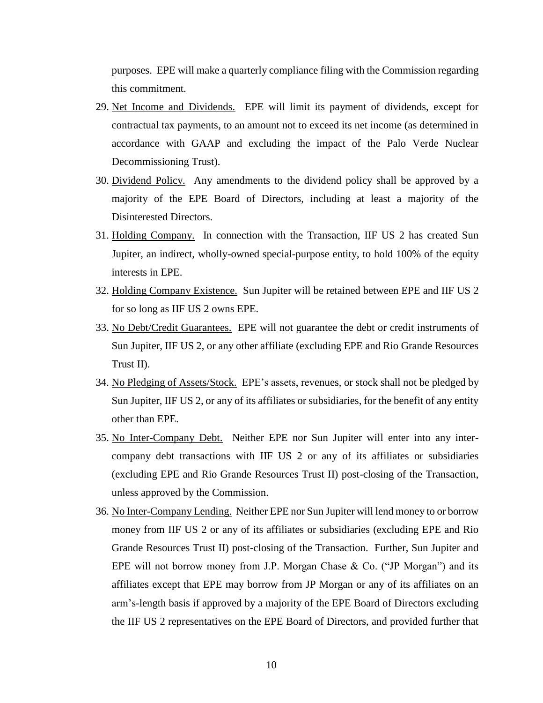purposes. EPE will make a quarterly compliance filing with the Commission regarding this commitment.

- 29. Net Income and Dividends. EPE will limit its payment of dividends, except for contractual tax payments, to an amount not to exceed its net income (as determined in accordance with GAAP and excluding the impact of the Palo Verde Nuclear Decommissioning Trust).
- 30. Dividend Policy. Any amendments to the dividend policy shall be approved by a majority of the EPE Board of Directors, including at least a majority of the Disinterested Directors.
- 31. Holding Company. In connection with the Transaction, IIF US 2 has created Sun Jupiter, an indirect, wholly-owned special-purpose entity, to hold 100% of the equity interests in EPE.
- 32. Holding Company Existence. Sun Jupiter will be retained between EPE and IIF US 2 for so long as IIF US 2 owns EPE.
- 33. No Debt/Credit Guarantees. EPE will not guarantee the debt or credit instruments of Sun Jupiter, IIF US 2, or any other affiliate (excluding EPE and Rio Grande Resources Trust II).
- 34. No Pledging of Assets/Stock. EPE's assets, revenues, or stock shall not be pledged by Sun Jupiter, IIF US 2, or any of its affiliates or subsidiaries, for the benefit of any entity other than EPE.
- 35. No Inter-Company Debt. Neither EPE nor Sun Jupiter will enter into any intercompany debt transactions with IIF US 2 or any of its affiliates or subsidiaries (excluding EPE and Rio Grande Resources Trust II) post-closing of the Transaction, unless approved by the Commission.
- 36. No Inter-Company Lending. Neither EPE nor Sun Jupiter will lend money to or borrow money from IIF US 2 or any of its affiliates or subsidiaries (excluding EPE and Rio Grande Resources Trust II) post-closing of the Transaction. Further, Sun Jupiter and EPE will not borrow money from J.P. Morgan Chase & Co. ("JP Morgan") and its affiliates except that EPE may borrow from JP Morgan or any of its affiliates on an arm's-length basis if approved by a majority of the EPE Board of Directors excluding the IIF US 2 representatives on the EPE Board of Directors, and provided further that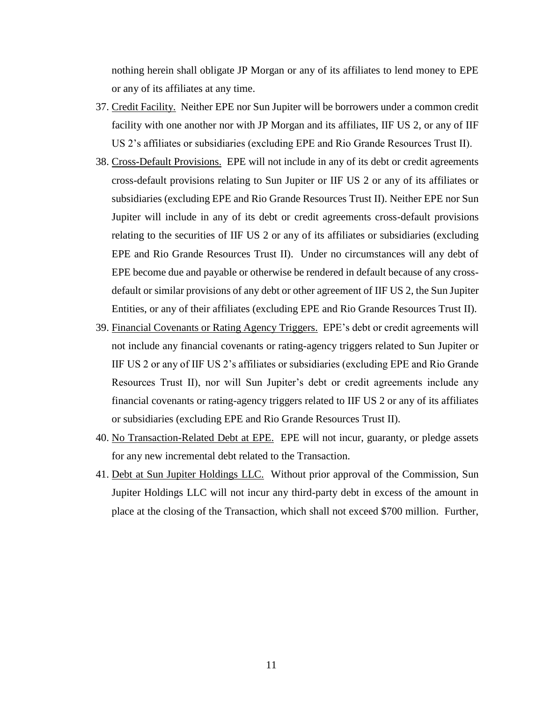nothing herein shall obligate JP Morgan or any of its affiliates to lend money to EPE or any of its affiliates at any time.

- 37. Credit Facility. Neither EPE nor Sun Jupiter will be borrowers under a common credit facility with one another nor with JP Morgan and its affiliates, IIF US 2, or any of IIF US 2's affiliates or subsidiaries (excluding EPE and Rio Grande Resources Trust II).
- 38. Cross-Default Provisions. EPE will not include in any of its debt or credit agreements cross-default provisions relating to Sun Jupiter or IIF US 2 or any of its affiliates or subsidiaries (excluding EPE and Rio Grande Resources Trust II). Neither EPE nor Sun Jupiter will include in any of its debt or credit agreements cross-default provisions relating to the securities of IIF US 2 or any of its affiliates or subsidiaries (excluding EPE and Rio Grande Resources Trust II). Under no circumstances will any debt of EPE become due and payable or otherwise be rendered in default because of any crossdefault or similar provisions of any debt or other agreement of IIF US 2, the Sun Jupiter Entities, or any of their affiliates (excluding EPE and Rio Grande Resources Trust II).
- 39. Financial Covenants or Rating Agency Triggers. EPE's debt or credit agreements will not include any financial covenants or rating-agency triggers related to Sun Jupiter or IIF US 2 or any of IIF US 2's affiliates or subsidiaries (excluding EPE and Rio Grande Resources Trust II), nor will Sun Jupiter's debt or credit agreements include any financial covenants or rating-agency triggers related to IIF US 2 or any of its affiliates or subsidiaries (excluding EPE and Rio Grande Resources Trust II).
- 40. No Transaction-Related Debt at EPE. EPE will not incur, guaranty, or pledge assets for any new incremental debt related to the Transaction.
- 41. Debt at Sun Jupiter Holdings LLC. Without prior approval of the Commission, Sun Jupiter Holdings LLC will not incur any third-party debt in excess of the amount in place at the closing of the Transaction, which shall not exceed \$700 million. Further,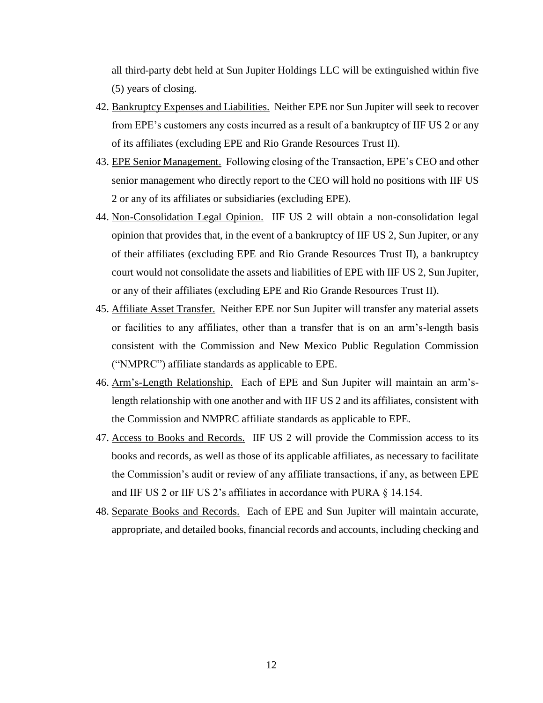all third-party debt held at Sun Jupiter Holdings LLC will be extinguished within five (5) years of closing.

- 42. Bankruptcy Expenses and Liabilities. Neither EPE nor Sun Jupiter will seek to recover from EPE's customers any costs incurred as a result of a bankruptcy of IIF US 2 or any of its affiliates (excluding EPE and Rio Grande Resources Trust II).
- 43. EPE Senior Management. Following closing of the Transaction, EPE's CEO and other senior management who directly report to the CEO will hold no positions with IIF US 2 or any of its affiliates or subsidiaries (excluding EPE).
- 44. Non-Consolidation Legal Opinion. IIF US 2 will obtain a non-consolidation legal opinion that provides that, in the event of a bankruptcy of IIF US 2, Sun Jupiter, or any of their affiliates (excluding EPE and Rio Grande Resources Trust II), a bankruptcy court would not consolidate the assets and liabilities of EPE with IIF US 2, Sun Jupiter, or any of their affiliates (excluding EPE and Rio Grande Resources Trust II).
- 45. Affiliate Asset Transfer. Neither EPE nor Sun Jupiter will transfer any material assets or facilities to any affiliates, other than a transfer that is on an arm's-length basis consistent with the Commission and New Mexico Public Regulation Commission ("NMPRC") affiliate standards as applicable to EPE.
- 46. Arm's-Length Relationship. Each of EPE and Sun Jupiter will maintain an arm'slength relationship with one another and with IIF US 2 and its affiliates, consistent with the Commission and NMPRC affiliate standards as applicable to EPE.
- 47. Access to Books and Records. IIF US 2 will provide the Commission access to its books and records, as well as those of its applicable affiliates, as necessary to facilitate the Commission's audit or review of any affiliate transactions, if any, as between EPE and IIF US 2 or IIF US 2's affiliates in accordance with PURA § 14.154.
- 48. Separate Books and Records. Each of EPE and Sun Jupiter will maintain accurate, appropriate, and detailed books, financial records and accounts, including checking and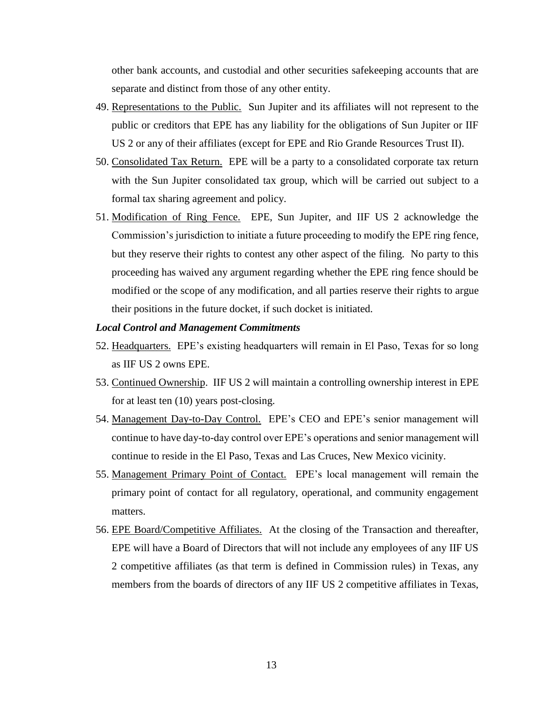other bank accounts, and custodial and other securities safekeeping accounts that are separate and distinct from those of any other entity.

- 49. Representations to the Public. Sun Jupiter and its affiliates will not represent to the public or creditors that EPE has any liability for the obligations of Sun Jupiter or IIF US 2 or any of their affiliates (except for EPE and Rio Grande Resources Trust II).
- 50. Consolidated Tax Return. EPE will be a party to a consolidated corporate tax return with the Sun Jupiter consolidated tax group, which will be carried out subject to a formal tax sharing agreement and policy.
- 51. Modification of Ring Fence. EPE, Sun Jupiter, and IIF US 2 acknowledge the Commission's jurisdiction to initiate a future proceeding to modify the EPE ring fence, but they reserve their rights to contest any other aspect of the filing. No party to this proceeding has waived any argument regarding whether the EPE ring fence should be modified or the scope of any modification, and all parties reserve their rights to argue their positions in the future docket, if such docket is initiated.

#### *Local Control and Management Commitments*

- 52. Headquarters. EPE's existing headquarters will remain in El Paso, Texas for so long as IIF US 2 owns EPE.
- 53. Continued Ownership. IIF US 2 will maintain a controlling ownership interest in EPE for at least ten (10) years post-closing.
- 54. Management Day-to-Day Control. EPE's CEO and EPE's senior management will continue to have day-to-day control over EPE's operations and senior management will continue to reside in the El Paso, Texas and Las Cruces, New Mexico vicinity.
- 55. Management Primary Point of Contact. EPE's local management will remain the primary point of contact for all regulatory, operational, and community engagement matters.
- 56. EPE Board/Competitive Affiliates. At the closing of the Transaction and thereafter, EPE will have a Board of Directors that will not include any employees of any IIF US 2 competitive affiliates (as that term is defined in Commission rules) in Texas, any members from the boards of directors of any IIF US 2 competitive affiliates in Texas,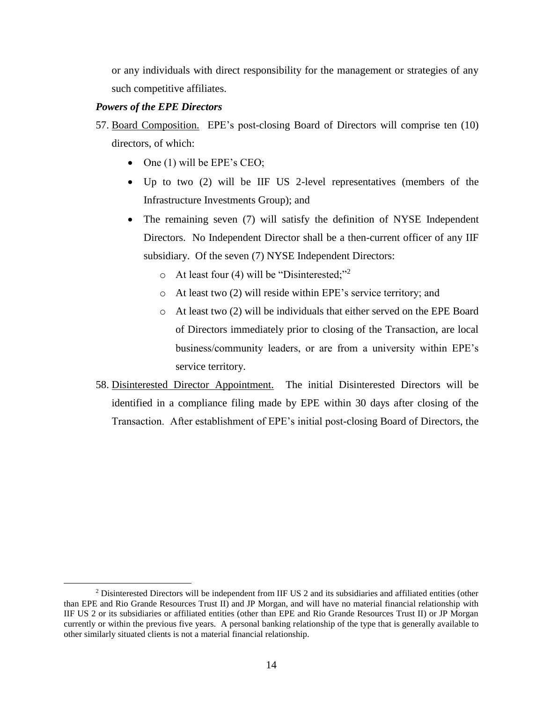or any individuals with direct responsibility for the management or strategies of any such competitive affiliates.

## *Powers of the EPE Directors*

 $\overline{a}$ 

- 57. Board Composition. EPE's post-closing Board of Directors will comprise ten (10) directors, of which:
	- $\bullet$  One (1) will be EPE's CEO;
	- Up to two (2) will be IIF US 2-level representatives (members of the Infrastructure Investments Group); and
	- The remaining seven (7) will satisfy the definition of NYSE Independent Directors. No Independent Director shall be a then-current officer of any IIF subsidiary. Of the seven (7) NYSE Independent Directors:
		- o At least four (4) will be "Disinterested;"<sup>2</sup>
		- o At least two (2) will reside within EPE's service territory; and
		- o At least two (2) will be individuals that either served on the EPE Board of Directors immediately prior to closing of the Transaction, are local business/community leaders, or are from a university within EPE's service territory.
- 58. Disinterested Director Appointment. The initial Disinterested Directors will be identified in a compliance filing made by EPE within 30 days after closing of the Transaction. After establishment of EPE's initial post-closing Board of Directors, the

<sup>2</sup> Disinterested Directors will be independent from IIF US 2 and its subsidiaries and affiliated entities (other than EPE and Rio Grande Resources Trust II) and JP Morgan, and will have no material financial relationship with IIF US 2 or its subsidiaries or affiliated entities (other than EPE and Rio Grande Resources Trust II) or JP Morgan currently or within the previous five years. A personal banking relationship of the type that is generally available to other similarly situated clients is not a material financial relationship.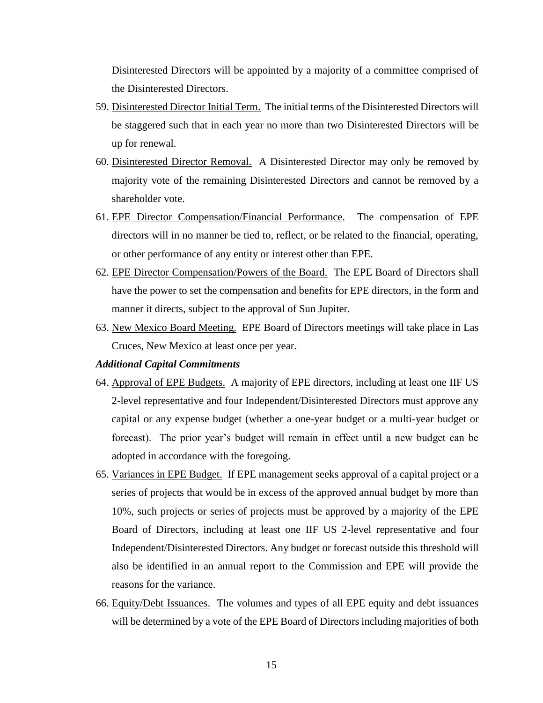Disinterested Directors will be appointed by a majority of a committee comprised of the Disinterested Directors.

- 59. Disinterested Director Initial Term. The initial terms of the Disinterested Directors will be staggered such that in each year no more than two Disinterested Directors will be up for renewal.
- 60. Disinterested Director Removal. A Disinterested Director may only be removed by majority vote of the remaining Disinterested Directors and cannot be removed by a shareholder vote.
- 61. EPE Director Compensation/Financial Performance. The compensation of EPE directors will in no manner be tied to, reflect, or be related to the financial, operating, or other performance of any entity or interest other than EPE.
- 62. EPE Director Compensation/Powers of the Board. The EPE Board of Directors shall have the power to set the compensation and benefits for EPE directors, in the form and manner it directs, subject to the approval of Sun Jupiter.
- 63. New Mexico Board Meeting. EPE Board of Directors meetings will take place in Las Cruces, New Mexico at least once per year.

#### *Additional Capital Commitments*

- 64. Approval of EPE Budgets. A majority of EPE directors, including at least one IIF US 2-level representative and four Independent/Disinterested Directors must approve any capital or any expense budget (whether a one-year budget or a multi-year budget or forecast). The prior year's budget will remain in effect until a new budget can be adopted in accordance with the foregoing.
- 65. Variances in EPE Budget. If EPE management seeks approval of a capital project or a series of projects that would be in excess of the approved annual budget by more than 10%, such projects or series of projects must be approved by a majority of the EPE Board of Directors, including at least one IIF US 2-level representative and four Independent/Disinterested Directors. Any budget or forecast outside this threshold will also be identified in an annual report to the Commission and EPE will provide the reasons for the variance.
- 66. Equity/Debt Issuances. The volumes and types of all EPE equity and debt issuances will be determined by a vote of the EPE Board of Directors including majorities of both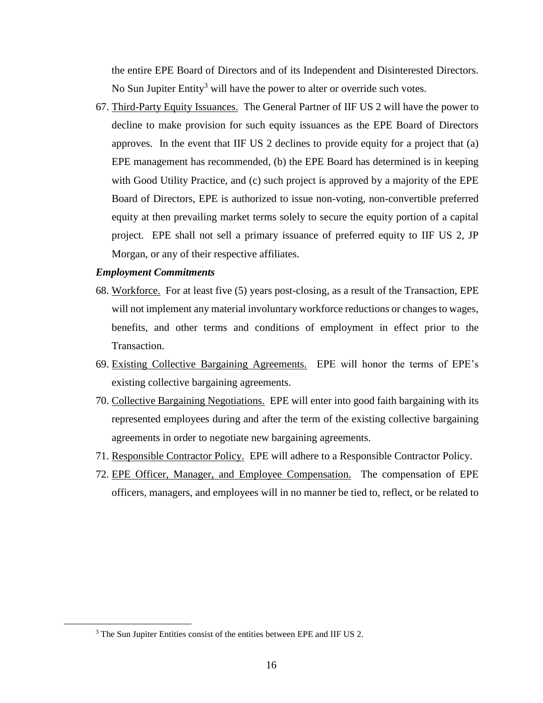the entire EPE Board of Directors and of its Independent and Disinterested Directors. No Sun Jupiter Entity<sup>3</sup> will have the power to alter or override such votes.

67. Third-Party Equity Issuances. The General Partner of IIF US 2 will have the power to decline to make provision for such equity issuances as the EPE Board of Directors approves. In the event that IIF US 2 declines to provide equity for a project that (a) EPE management has recommended, (b) the EPE Board has determined is in keeping with Good Utility Practice, and (c) such project is approved by a majority of the EPE Board of Directors, EPE is authorized to issue non-voting, non-convertible preferred equity at then prevailing market terms solely to secure the equity portion of a capital project. EPE shall not sell a primary issuance of preferred equity to IIF US 2, JP Morgan, or any of their respective affiliates.

#### *Employment Commitments*

 $\overline{a}$ 

- 68. Workforce. For at least five (5) years post-closing, as a result of the Transaction, EPE will not implement any material involuntary workforce reductions or changes to wages, benefits, and other terms and conditions of employment in effect prior to the Transaction.
- 69. Existing Collective Bargaining Agreements. EPE will honor the terms of EPE's existing collective bargaining agreements.
- 70. Collective Bargaining Negotiations. EPE will enter into good faith bargaining with its represented employees during and after the term of the existing collective bargaining agreements in order to negotiate new bargaining agreements.
- 71. Responsible Contractor Policy. EPE will adhere to a Responsible Contractor Policy.
- 72. EPE Officer, Manager, and Employee Compensation. The compensation of EPE officers, managers, and employees will in no manner be tied to, reflect, or be related to

<sup>3</sup> The Sun Jupiter Entities consist of the entities between EPE and IIF US 2.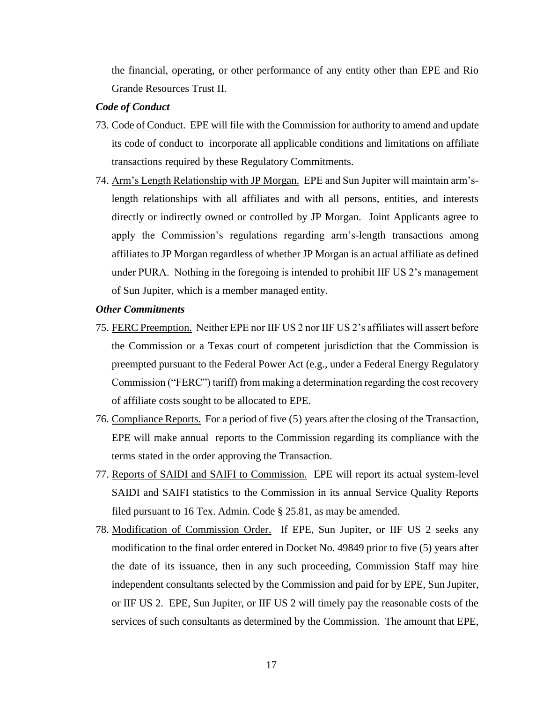the financial, operating, or other performance of any entity other than EPE and Rio Grande Resources Trust II.

#### *Code of Conduct*

- 73. Code of Conduct. EPE will file with the Commission for authority to amend and update its code of conduct to incorporate all applicable conditions and limitations on affiliate transactions required by these Regulatory Commitments.
- 74. Arm's Length Relationship with JP Morgan. EPE and Sun Jupiter will maintain arm'slength relationships with all affiliates and with all persons, entities, and interests directly or indirectly owned or controlled by JP Morgan. Joint Applicants agree to apply the Commission's regulations regarding arm's-length transactions among affiliates to JP Morgan regardless of whether JP Morgan is an actual affiliate as defined under PURA. Nothing in the foregoing is intended to prohibit IIF US 2's management of Sun Jupiter, which is a member managed entity.

### *Other Commitments*

- 75. FERC Preemption. Neither EPE nor IIF US 2 nor IIF US 2's affiliates will assert before the Commission or a Texas court of competent jurisdiction that the Commission is preempted pursuant to the Federal Power Act (e.g., under a Federal Energy Regulatory Commission ("FERC") tariff) from making a determination regarding the cost recovery of affiliate costs sought to be allocated to EPE.
- 76. Compliance Reports. For a period of five (5) years after the closing of the Transaction, EPE will make annual reports to the Commission regarding its compliance with the terms stated in the order approving the Transaction.
- 77. Reports of SAIDI and SAIFI to Commission. EPE will report its actual system-level SAIDI and SAIFI statistics to the Commission in its annual Service Quality Reports filed pursuant to 16 Tex. Admin. Code § 25.81, as may be amended.
- 78. Modification of Commission Order. If EPE, Sun Jupiter, or IIF US 2 seeks any modification to the final order entered in Docket No. 49849 prior to five (5) years after the date of its issuance, then in any such proceeding, Commission Staff may hire independent consultants selected by the Commission and paid for by EPE, Sun Jupiter, or IIF US 2. EPE, Sun Jupiter, or IIF US 2 will timely pay the reasonable costs of the services of such consultants as determined by the Commission. The amount that EPE,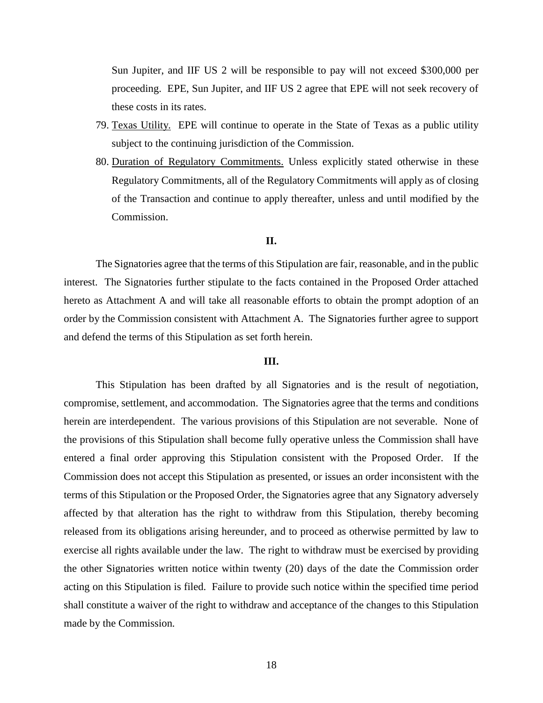Sun Jupiter, and IIF US 2 will be responsible to pay will not exceed \$300,000 per proceeding. EPE, Sun Jupiter, and IIF US 2 agree that EPE will not seek recovery of these costs in its rates.

- 79. Texas Utility. EPE will continue to operate in the State of Texas as a public utility subject to the continuing jurisdiction of the Commission.
- 80. Duration of Regulatory Commitments. Unless explicitly stated otherwise in these Regulatory Commitments, all of the Regulatory Commitments will apply as of closing of the Transaction and continue to apply thereafter, unless and until modified by the Commission.

## **II.**

The Signatories agree that the terms of this Stipulation are fair, reasonable, and in the public interest. The Signatories further stipulate to the facts contained in the Proposed Order attached hereto as Attachment A and will take all reasonable efforts to obtain the prompt adoption of an order by the Commission consistent with Attachment A. The Signatories further agree to support and defend the terms of this Stipulation as set forth herein.

#### **III.**

This Stipulation has been drafted by all Signatories and is the result of negotiation, compromise, settlement, and accommodation. The Signatories agree that the terms and conditions herein are interdependent. The various provisions of this Stipulation are not severable. None of the provisions of this Stipulation shall become fully operative unless the Commission shall have entered a final order approving this Stipulation consistent with the Proposed Order. If the Commission does not accept this Stipulation as presented, or issues an order inconsistent with the terms of this Stipulation or the Proposed Order, the Signatories agree that any Signatory adversely affected by that alteration has the right to withdraw from this Stipulation, thereby becoming released from its obligations arising hereunder, and to proceed as otherwise permitted by law to exercise all rights available under the law. The right to withdraw must be exercised by providing the other Signatories written notice within twenty (20) days of the date the Commission order acting on this Stipulation is filed. Failure to provide such notice within the specified time period shall constitute a waiver of the right to withdraw and acceptance of the changes to this Stipulation made by the Commission.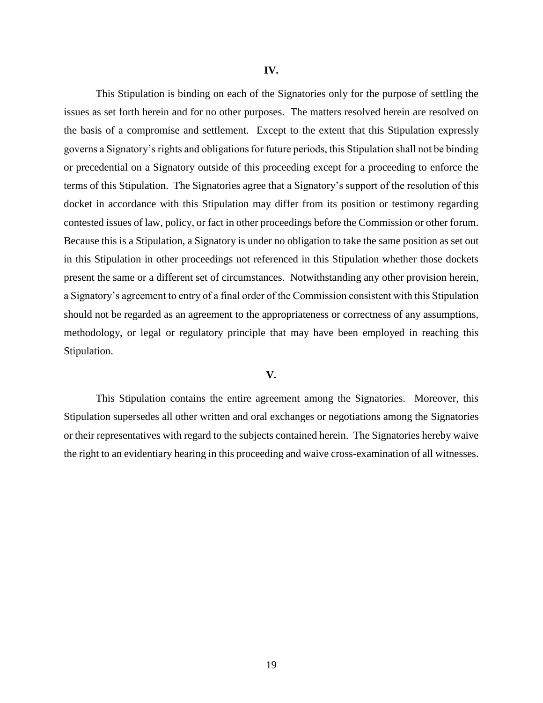This Stipulation is binding on each of the Signatories only for the purpose of settling the issues as set forth herein and for no other purposes. The matters resolved herein are resolved on the basis of a compromise and settlement. Except to the extent that this Stipulation expressly governs a Signatory's rights and obligations for future periods, this Stipulation shall not be binding or precedential on a Signatory outside of this proceeding except for a proceeding to enforce the terms of this Stipulation. The Signatories agree that a Signatory's support of the resolution of this docket in accordance with this Stipulation may differ from its position or testimony regarding contested issues of law, policy, or fact in other proceedings before the Commission or other forum. Because this is a Stipulation, a Signatory is under no obligation to take the same position as set out in this Stipulation in other proceedings not referenced in this Stipulation whether those dockets present the same or a different set of circumstances. Notwithstanding any other provision herein, a Signatory's agreement to entry of a final order of the Commission consistent with this Stipulation should not be regarded as an agreement to the appropriateness or correctness of any assumptions, methodology, or legal or regulatory principle that may have been employed in reaching this Stipulation.

#### **V.**

This Stipulation contains the entire agreement among the Signatories. Moreover, this Stipulation supersedes all other written and oral exchanges or negotiations among the Signatories or their representatives with regard to the subjects contained herein. The Signatories hereby waive the right to an evidentiary hearing in this proceeding and waive cross-examination of all witnesses.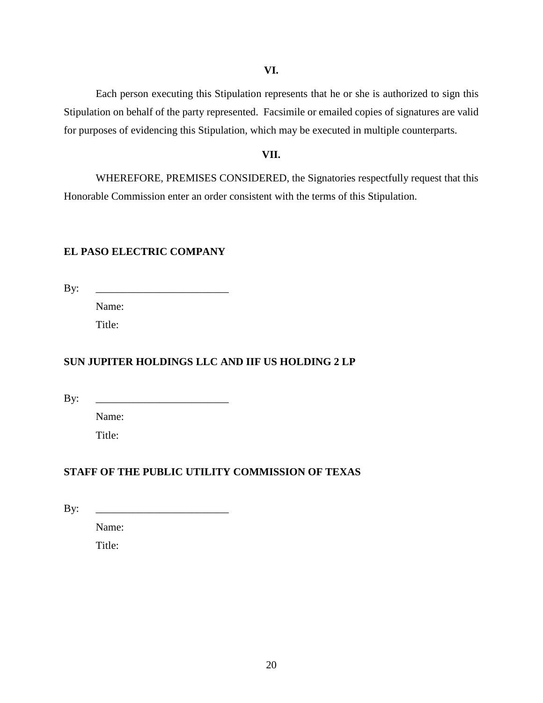## **VI.**

Each person executing this Stipulation represents that he or she is authorized to sign this Stipulation on behalf of the party represented. Facsimile or emailed copies of signatures are valid for purposes of evidencing this Stipulation, which may be executed in multiple counterparts.

### **VII.**

WHEREFORE, PREMISES CONSIDERED, the Signatories respectfully request that this Honorable Commission enter an order consistent with the terms of this Stipulation.

## **EL PASO ELECTRIC COMPANY**

 $\mathbf{By:}$ 

Name: Title:

## **SUN JUPITER HOLDINGS LLC AND IIF US HOLDING 2 LP**

 $\mathbf{By:}$ 

Name:

Title:

## **STAFF OF THE PUBLIC UTILITY COMMISSION OF TEXAS**

 $\mathbf{B} \mathbf{y}$ :

Name:

Title: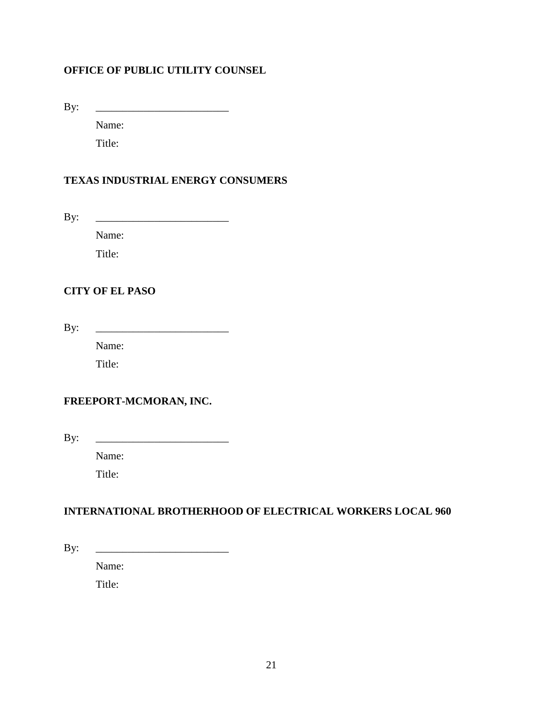## **OFFICE OF PUBLIC UTILITY COUNSEL**

By: \_\_\_\_\_\_\_\_\_\_\_\_\_\_\_\_\_\_\_\_\_\_\_\_\_

Name:

Title:

## **TEXAS INDUSTRIAL ENERGY CONSUMERS**

By: \_\_\_\_\_\_\_\_\_\_\_\_\_\_\_\_\_\_\_\_\_\_\_\_\_

Name:

Title:

## **CITY OF EL PASO**

 $\mathbf{B} \mathbf{y}$ :

Name:

Title:

## **FREEPORT-MCMORAN, INC.**

By: \_\_\_\_\_\_\_\_\_\_\_\_\_\_\_\_\_\_\_\_\_\_\_\_\_

Name:

Title:

## **INTERNATIONAL BROTHERHOOD OF ELECTRICAL WORKERS LOCAL 960**

By: \_\_\_\_\_\_\_\_\_\_\_\_\_\_\_\_\_\_\_\_\_\_\_\_\_

Name:

Title: